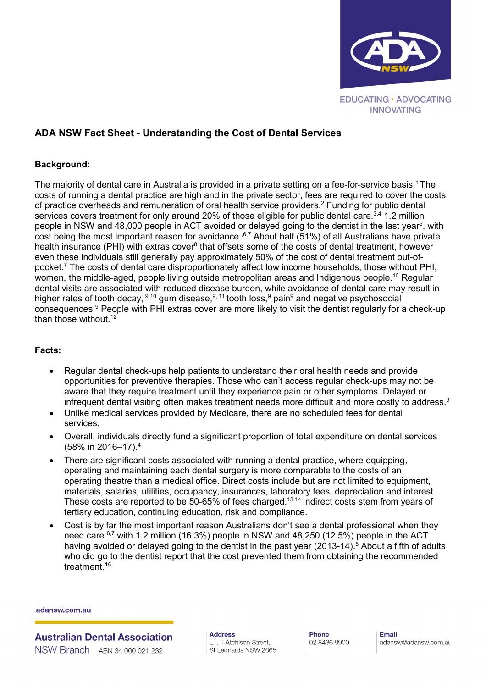

# **ADA NSW Fact Sheet - Understanding the Cost of Dental Services**

### **Background:**

The majority of dental care in Australia is provided in a private setting on a fee-for-service basis.<sup>1</sup> The costs of running a dental practice are high and in the private sector, fees are required to cover the costs of practice overheads and remuneration of oral health service providers.2 Funding for public dental services covers treatment for only around 20% of those eligible for public dental care.<sup>3,4</sup> 1.2 million people in NSW and 48,000 people in ACT avoided or delayed going to the dentist in the last year $^5$ , with cost being the most important reason for avoidance.<sup>6,7</sup> About half (51%) of all Australians have private health insurance (PHI) with extras cover<sup>8</sup> that offsets some of the costs of dental treatment, however even these individuals still generally pay approximately 50% of the cost of dental treatment out-ofpocket.7 The costs of dental care disproportionately affect low income households, those without PHI, women, the middle-aged, people living outside metropolitan areas and Indigenous people.<sup>10</sup> Regular dental visits are associated with reduced disease burden, while avoidance of dental care may result in higher rates of tooth decay, <sup>9,10</sup> gum disease, <sup>9, 11</sup> tooth loss, <sup>9</sup> pain<sup>9</sup> and negative psychosocial consequences.9 People with PHI extras cover are more likely to visit the dentist regularly for a check-up than those without. 12

#### **Facts:**

- Regular dental check-ups help patients to understand their oral health needs and provide opportunities for preventive therapies. Those who can't access regular check-ups may not be aware that they require treatment until they experience pain or other symptoms. Delayed or infrequent dental visiting often makes treatment needs more difficult and more costly to address.<sup>9</sup>
- Unlike medical services provided by Medicare, there are no scheduled fees for dental services.
- Overall, individuals directly fund a significant proportion of total expenditure on dental services (58% in 2016–17).4
- There are significant costs associated with running a dental practice, where equipping, operating and maintaining each dental surgery is more comparable to the costs of an operating theatre than a medical office. Direct costs include but are not limited to equipment, materials, salaries, utilities, occupancy, insurances, laboratory fees, depreciation and interest. These costs are reported to be 50-65% of fees charged.<sup>13,14</sup> Indirect costs stem from years of tertiary education, continuing education, risk and compliance.
- Cost is by far the most important reason Australians don't see a dental professional when they need care <sup>6,7</sup> with 1.2 million (16.3%) people in NSW and 48,250 (12.5%) people in the ACT having avoided or delayed going to the dentist in the past year  $(2013-14)$ .<sup>5</sup> About a fifth of adults who did go to the dentist report that the cost prevented them from obtaining the recommended treatment. 15

adansw.com.au

**Australian Dental Association** NSW Branch ABN 34 000 021 232

**Address** L1, 1 Atchison Street, St Leonards NSW 2065 Phone 02 8436 9900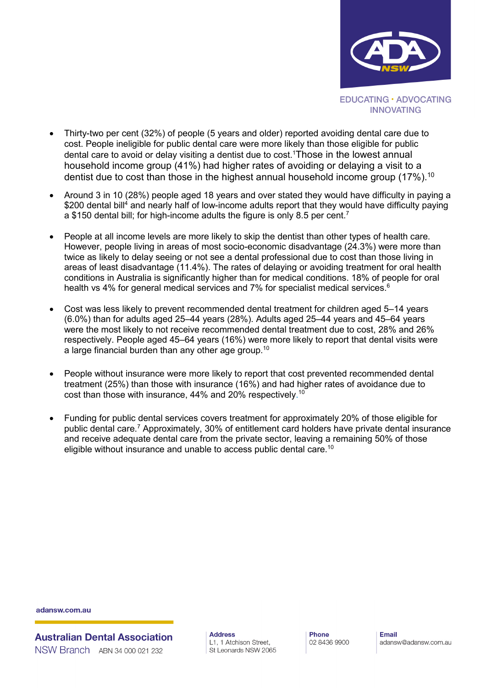

- Thirty-two per cent (32%) of people (5 years and older) reported avoiding dental care due to cost. People ineligible for public dental care were more likely than those eligible for public dental care to avoid or delay visiting a dentist due to cost.1 Those in the lowest annual household income group (41%) had higher rates of avoiding or delaying a visit to a dentist due to cost than those in the highest annual household income group (17%).<sup>10</sup>
- Around 3 in 10 (28%) people aged 18 years and over stated they would have difficulty in paying a \$200 dental bill<sup>4</sup> and nearly half of low-income adults report that they would have difficulty paying a \$150 dental bill; for high-income adults the figure is only 8.5 per cent.<sup>7</sup>
- People at all income levels are more likely to skip the dentist than other types of health care. However, people living in areas of most socio-economic disadvantage (24.3%) were more than twice as likely to delay seeing or not see a dental professional due to cost than those living in areas of least disadvantage (11.4%). The rates of delaying or avoiding treatment for oral health conditions in Australia is significantly higher than for medical conditions. 18% of people for oral health vs 4% for general medical services and 7% for specialist medical services.<sup>6</sup>
- Cost was less likely to prevent recommended dental treatment for children aged 5–14 years (6.0%) than for adults aged 25–44 years (28%). Adults aged 25–44 years and 45–64 years were the most likely to not receive recommended dental treatment due to cost, 28% and 26% respectively. People aged 45–64 years (16%) were more likely to report that dental visits were a large financial burden than any other age group.10
- People without insurance were more likely to report that cost prevented recommended dental treatment (25%) than those with insurance (16%) and had higher rates of avoidance due to cost than those with insurance, 44% and 20% respectively. $^{\rm 10}$
- Funding for public dental services covers treatment for approximately 20% of those eligible for public dental care.7 Approximately, 30% of entitlement card holders have private dental insurance and receive adequate dental care from the private sector, leaving a remaining 50% of those eligible without insurance and unable to access public dental care.<sup>10</sup>

adansw.com.au

**Australian Dental Association** NSW Branch ABN 34 000 021 232

**Address** L1, 1 Atchison Street, St Leonards NSW 2065 Phone 02 8436 9900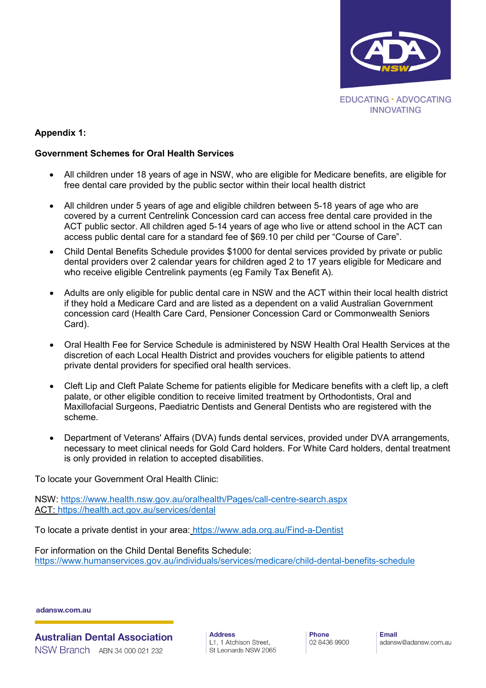

## **Appendix 1:**

#### **Government Schemes for Oral Health Services**

- All children under 18 years of age in NSW, who are eligible for Medicare benefits, are eligible for free dental care provided by the public sector within their local health district
- All children under 5 years of age and eligible children between 5-18 years of age who are covered by a current Centrelink Concession card can access free dental care provided in the ACT public sector. All children aged 5-14 years of age who live or attend school in the ACT can access public dental care for a standard fee of \$69.10 per child per "Course of Care".
- Child Dental Benefits Schedule provides \$1000 for dental services provided by private or public dental providers over 2 calendar years for children aged 2 to 17 years eligible for Medicare and who receive eligible Centrelink payments (eg Family Tax Benefit A).
- Adults are only eligible for public dental care in NSW and the ACT within their local health district if they hold a Medicare Card and are listed as a dependent on a valid Australian Government concession card (Health Care Card, Pensioner Concession Card or Commonwealth Seniors Card).
- Oral Health Fee for Service Schedule is administered by NSW Health Oral Health Services at the discretion of each Local Health District and provides vouchers for eligible patients to attend private dental providers for specified oral health services.
- Cleft Lip and Cleft Palate Scheme for patients eligible for Medicare benefits with a cleft lip, a cleft palate, or other eligible condition to receive limited treatment by Orthodontists, Oral and Maxillofacial Surgeons, Paediatric Dentists and General Dentists who are registered with the scheme.
- Department of Veterans' Affairs (DVA) funds dental services, provided under DVA arrangements, necessary to meet clinical needs for Gold Card holders. For White Card holders, dental treatment is only provided in relation to accepted disabilities.

To locate your Government Oral Health Clinic:

NSW:<https://www.health.nsw.gov.au/oralhealth/Pages/call-centre-search.aspx> ACT:<https://health.act.gov.au/services/dental>

To locate a private dentist in your area: <https://www.ada.org.au/Find-a-Dentist>

For information on the Child Dental Benefits Schedule: <https://www.humanservices.gov.au/individuals/services/medicare/child-dental-benefits-schedule>

adansw.com.au

**Australian Dental Association** NSW Branch ABN 34 000 021 232

**Address** L1, 1 Atchison Street, St Leonards NSW 2065 Phone 02 8436 9900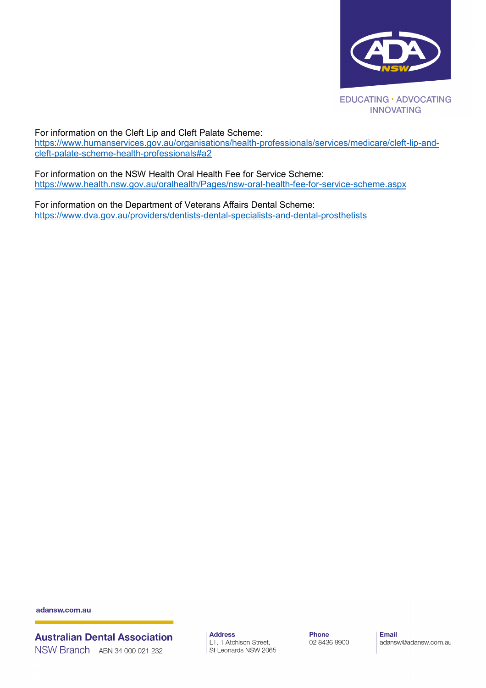

For information on the Cleft Lip and Cleft Palate Scheme:

[https://www.humanservices.gov.au/organisations/health-professionals/services/medicare/cleft-lip-and](https://www.humanservices.gov.au/organisations/health-professionals/services/medicare/cleft-lip-and-cleft-palate-scheme-health-professionals#a2)[cleft-palate-scheme-health-professionals#a2](https://www.humanservices.gov.au/organisations/health-professionals/services/medicare/cleft-lip-and-cleft-palate-scheme-health-professionals#a2)

For information on the NSW Health Oral Health Fee for Service Scheme: <https://www.health.nsw.gov.au/oralhealth/Pages/nsw-oral-health-fee-for-service-scheme.aspx>

For information on the Department of Veterans Affairs Dental Scheme: <https://www.dva.gov.au/providers/dentists-dental-specialists-and-dental-prosthetists>

adansw.com.au

**Australian Dental Association** NSW Branch ABN 34 000 021 232

**Address** L1, 1 Atchison Street, St Leonards NSW 2065 Phone 02 8436 9900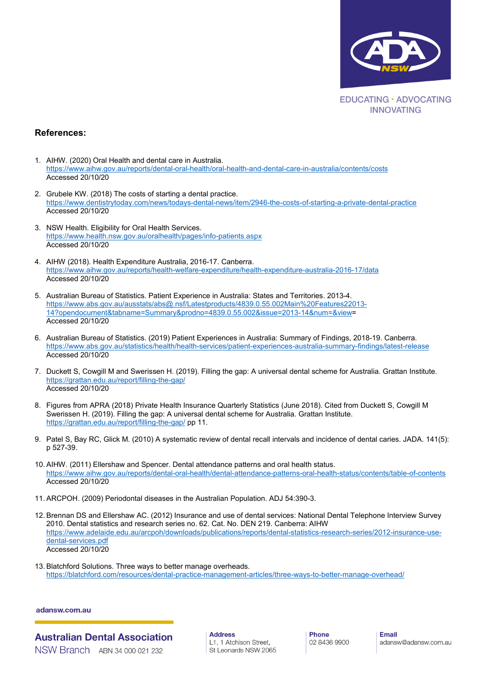

#### **References:**

- 1. AIHW. (2020) Oral Health and dental care in Australia. <https://www.aihw.gov.au/reports/dental-oral-health/oral-health-and-dental-care-in-australia/contents/costs> Accessed 20/10/20
- 2. Grubele KW. (2018) The costs of starting a dental practice. <https://www.dentistrytoday.com/news/todays-dental-news/item/2946-the-costs-of-starting-a-private-dental-practice> Accessed 20/10/20
- 3. NSW Health. Eligibility for Oral Health Services. <https://www.health.nsw.gov.au/oralhealth/pages/info-patients.aspx> Accessed 20/10/20
- 4. AIHW (2018). Health Expenditure Australia, 2016-17. Canberra. <https://www.aihw.gov.au/reports/health-welfare-expenditure/health-expenditure-australia-2016-17/data> Accessed 20/10/20
- 5. Australian Bureau of Statistics. Patient Experience in Australia: States and Territories. 2013-4. [https://www.abs.gov.au/ausstats/abs@.nsf/Latestproducts/4839.0.55.002Main%20Features22013-](https://www.abs.gov.au/ausstats/abs@.nsf/Latestproducts/4839.0.55.002Main%20Features22013-14?opendocument&tabname=Summary&prodno=4839.0.55.002&issue=2013-14&num=&view) [14?opendocument&tabname=Summary&prodno=4839.0.55.002&issue=2013-14&num=&view=](https://www.abs.gov.au/ausstats/abs@.nsf/Latestproducts/4839.0.55.002Main%20Features22013-14?opendocument&tabname=Summary&prodno=4839.0.55.002&issue=2013-14&num=&view) Accessed 20/10/20
- 6. Australian Bureau of Statistics. (2019) Patient Experiences in Australia: Summary of Findings, 2018-19. Canberra. <https://www.abs.gov.au/statistics/health/health-services/patient-experiences-australia-summary-findings/latest-release> Accessed 20/10/20
- 7. Duckett S, Cowgill M and Swerissen H. (2019). Filling the gap: A universal dental scheme for Australia. Grattan Institute. <https://grattan.edu.au/report/filling-the-gap/> Accessed 20/10/20
- 8. Figures from APRA (2018) Private Health Insurance Quarterly Statistics (June 2018). Cited from Duckett S, Cowgill M Swerissen H. (2019). Filling the gap: A universal dental scheme for Australia. Grattan Institute. <https://grattan.edu.au/report/filling-the-gap/> pp 11.
- 9. Patel S, Bay RC, Glick M. (2010) A systematic review of dental recall intervals and incidence of dental caries. JADA. 141(5): p 527-39.
- 10. AIHW. (2011) Ellershaw and Spencer. Dental attendance patterns and oral health status. <https://www.aihw.gov.au/reports/dental-oral-health/dental-attendance-patterns-oral-health-status/contents/table-of-contents> Accessed 20/10/20
- 11. ARCPOH. (2009) Periodontal diseases in the Australian Population. ADJ 54:390-3.
- 12. Brennan DS and Ellershaw AC. (2012) Insurance and use of dental services: National Dental Telephone Interview Survey 2010. Dental statistics and research series no. 62. Cat. No. DEN 219. Canberra: AIHW [https://www.adelaide.edu.au/arcpoh/downloads/publications/reports/dental-statistics-research-series/2012-insurance-use](https://www.adelaide.edu.au/arcpoh/downloads/publications/reports/dental-statistics-research-series/2012-insurance-use-dental-services.pdf)[dental-services.pdf](https://www.adelaide.edu.au/arcpoh/downloads/publications/reports/dental-statistics-research-series/2012-insurance-use-dental-services.pdf) Accessed 20/10/20
- 13. Blatchford Solutions. Three ways to better manage overheads. <https://blatchford.com/resources/dental-practice-management-articles/three-ways-to-better-manage-overhead/>

#### adansw.com.au

**Australian Dental Association** NSW Branch ABN 34 000 021 232

**Address** L1, 1 Atchison Street, St Leonards NSW 2065 Phone 02 8436 9900